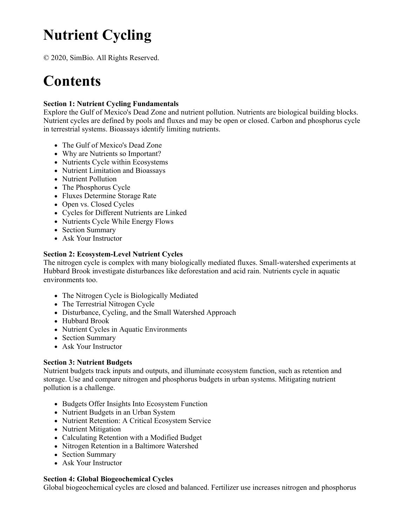# **Nutrient Cycling**

© 2020, SimBio. All Rights Reserved.

# **Contents**

## **Section 1: Nutrient Cycling Fundamentals**

Explore the Gulf of Mexico's Dead Zone and nutrient pollution. Nutrients are biological building blocks. Nutrient cycles are defined by pools and fluxes and may be open or closed. Carbon and phosphorus cycle in terrestrial systems. Bioassays identify limiting nutrients.

- The Gulf of Mexico's Dead Zone
- Why are Nutrients so Important?
- Nutrients Cycle within Ecosystems
- Nutrient Limitation and Bioassays
- Nutrient Pollution
- The Phosphorus Cycle
- Fluxes Determine Storage Rate
- Open vs. Closed Cycles
- Cycles for Different Nutrients are Linked
- Nutrients Cycle While Energy Flows
- Section Summary
- Ask Your Instructor

## **Section 2: Ecosystem-Level Nutrient Cycles**

The nitrogen cycle is complex with many biologically mediated fluxes. Small-watershed experiments at Hubbard Brook investigate disturbances like deforestation and acid rain. Nutrients cycle in aquatic environments too.

- The Nitrogen Cycle is Biologically Mediated
- The Terrestrial Nitrogen Cycle
- Disturbance, Cycling, and the Small Watershed Approach
- Hubbard Brook
- Nutrient Cycles in Aquatic Environments
- Section Summary
- Ask Your Instructor

#### **Section 3: Nutrient Budgets**

Nutrient budgets track inputs and outputs, and illuminate ecosystem function, such as retention and storage. Use and compare nitrogen and phosphorus budgets in urban systems. Mitigating nutrient pollution is a challenge.

- Budgets Offer Insights Into Ecosystem Function
- Nutrient Budgets in an Urban System
- Nutrient Retention: A Critical Ecosystem Service
- Nutrient Mitigation
- Calculating Retention with a Modified Budget
- Nitrogen Retention in a Baltimore Watershed
- Section Summary
- Ask Your Instructor

#### **Section 4: Global Biogeochemical Cycles**

Global biogeochemical cycles are closed and balanced. Fertilizer use increases nitrogen and phosphorus